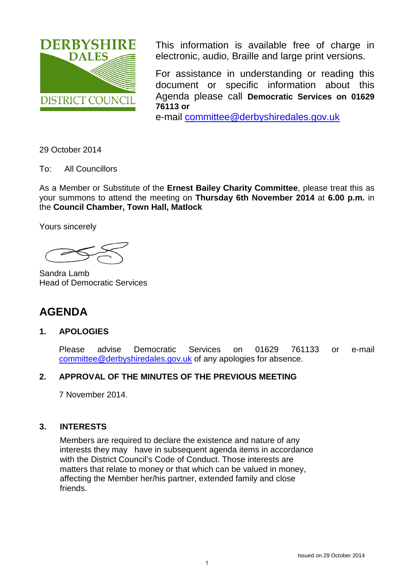

This information is available free of charge in electronic, audio, Braille and large print versions.

For assistance in understanding or reading this document or specific information about this Agenda please call **Democratic Services on 01629 76113 or**

e-mail [committee@derbyshiredales.gov.uk](mailto:committee@derbyshiredales.gov.uk)

29 October 2014

To: All Councillors

As a Member or Substitute of the **Ernest Bailey Charity Committee**, please treat this as your summons to attend the meeting on **Thursday 6th November 2014** at **6.00 p.m.** in the **Council Chamber, Town Hall, Matlock** 

Yours sincerely

Sandra Lamb Head of Democratic Services

# **AGENDA**

## **1. APOLOGIES**

Please advise Democratic Services on 01629 761133 or e-mail [committee@derbyshiredales.gov.uk](mailto:committee@derbyshiredales.gov.uk) of any apologies for absence.

## **2. APPROVAL OF THE MINUTES OF THE PREVIOUS MEETING**

7 November 2014.

## **3. INTERESTS**

Members are required to declare the existence and nature of any interests they may have in subsequent agenda items in accordance with the District Council's Code of Conduct. Those interests are matters that relate to money or that which can be valued in money, affecting the Member her/his partner, extended family and close friends.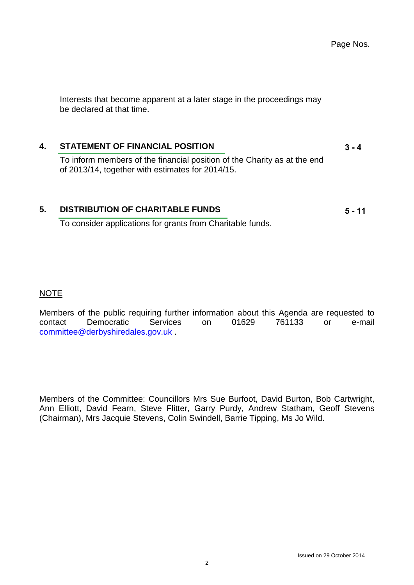Page Nos.

 $3 - 4$ 

**5 - 11**

Interests that become apparent at a later stage in the proceedings may be declared at that time.

## **4. [STATEMENT OF FINANCIAL POSITION](#page-2-0)**

To inform members of the financial position of the Charity as at the end of 2013/14, together with estimates for 2014/15.

### **5. [DISTRIBUTION OF CHARITABLE FUNDS](#page-4-0)**

To consider applications for grants from Charitable funds.

#### NOTE

Members of the public requiring further information about this Agenda are requested to contact Democratic Services on 01629 761133 or e-mail [committee@derbyshiredales.gov.uk](mailto:committee@derbyshiredales.gov.uk) .

Members of the Committee: Councillors Mrs Sue Burfoot, David Burton, Bob Cartwright, Ann Elliott, David Fearn, Steve Flitter, Garry Purdy, Andrew Statham, Geoff Stevens (Chairman), Mrs Jacquie Stevens, Colin Swindell, Barrie Tipping, Ms Jo Wild.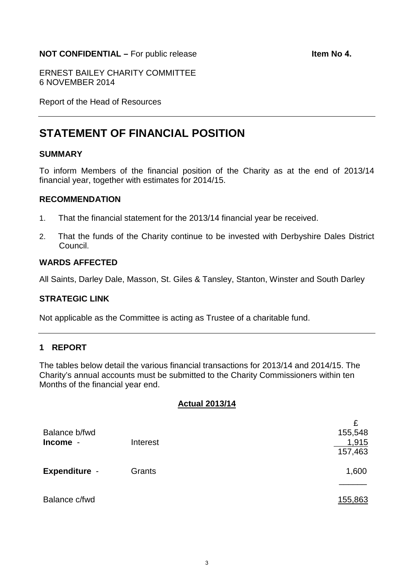### <span id="page-2-0"></span>**NOT CONFIDENTIAL –** For public release **Internal and Item No 4.**

ERNEST BAILEY CHARITY COMMITTEE 6 NOVEMBER 2014

Report of the Head of Resources

# **STATEMENT OF FINANCIAL POSITION**

#### **SUMMARY**

To inform Members of the financial position of the Charity as at the end of 2013/14 financial year, together with estimates for 2014/15.

#### **RECOMMENDATION**

- 1. That the financial statement for the 2013/14 financial year be received.
- 2. That the funds of the Charity continue to be invested with Derbyshire Dales District Council.

## **WARDS AFFECTED**

All Saints, Darley Dale, Masson, St. Giles & Tansley, Stanton, Winster and South Darley

#### **STRATEGIC LINK**

Not applicable as the Committee is acting as Trustee of a charitable fund.

### **1 REPORT**

The tables below detail the various financial transactions for 2013/14 and 2014/15. The Charity's annual accounts must be submitted to the Charity Commissioners within ten Months of the financial year end.

#### **Actual 2013/14**

| Balance b/fwd        |          | £<br>155,548 |
|----------------------|----------|--------------|
| Income -             | Interest | 1,915        |
|                      |          | 157,463      |
| <b>Expenditure -</b> | Grants   | 1,600        |
|                      |          |              |
| Balance c/fwd        |          | 155,863      |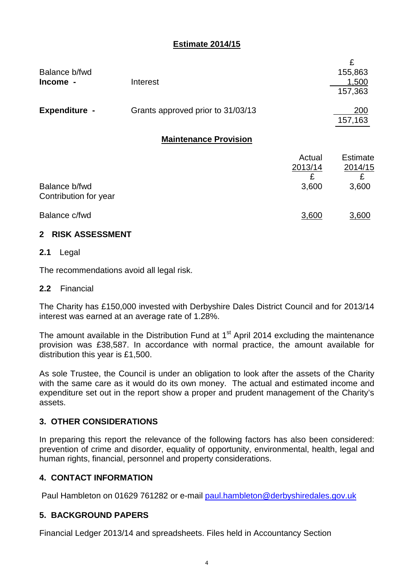## **Estimate 2014/15**

| Balance b/fwd        |                                   | 155,863 |
|----------------------|-----------------------------------|---------|
| Income -             | Interest                          | 1,500   |
|                      |                                   | 157,363 |
|                      |                                   |         |
| <b>Expenditure -</b> | Grants approved prior to 31/03/13 | 200     |
|                      |                                   | 157,163 |
|                      |                                   |         |

## **Maintenance Provision**

|                                        | Actual  | <b>Estimate</b> |
|----------------------------------------|---------|-----------------|
|                                        | 2013/14 | 2014/15         |
|                                        | £       | £               |
| Balance b/fwd<br>Contribution for year | 3,600   | 3,600           |
| Balance c/fwd                          | 3,600   | 3,600           |

## **2 RISK ASSESSMENT**

## **2.1** Legal

The recommendations avoid all legal risk.

## **2.2** Financial

The Charity has £150,000 invested with Derbyshire Dales District Council and for 2013/14 interest was earned at an average rate of 1.28%.

The amount available in the Distribution Fund at  $1<sup>st</sup>$  April 2014 excluding the maintenance provision was £38,587. In accordance with normal practice, the amount available for distribution this year is £1,500.

As sole Trustee, the Council is under an obligation to look after the assets of the Charity with the same care as it would do its own money. The actual and estimated income and expenditure set out in the report show a proper and prudent management of the Charity's assets.

## **3. OTHER CONSIDERATIONS**

In preparing this report the relevance of the following factors has also been considered: prevention of crime and disorder, equality of opportunity, environmental, health, legal and human rights, financial, personnel and property considerations.

## **4. CONTACT INFORMATION**

Paul Hambleton on 01629 761282 or e-mail [paul.hambleton@derbyshiredales.gov.uk](mailto:paul.hambleton@derbyshiredales.gov.uk)

## **5. BACKGROUND PAPERS**

Financial Ledger 2013/14 and spreadsheets. Files held in Accountancy Section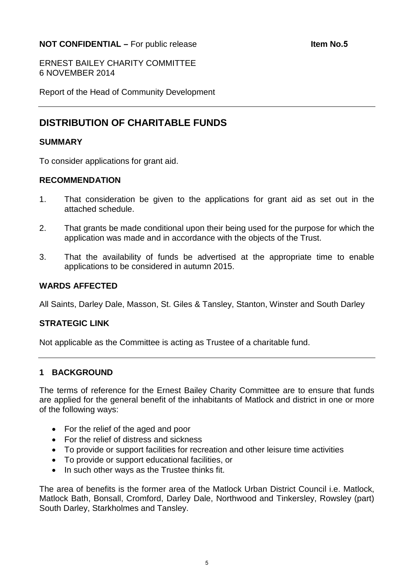## <span id="page-4-0"></span>**NOT CONFIDENTIAL –** For public release **Internal Section 1.5 Item No.5**

ERNEST BAILEY CHARITY COMMITTEE 6 NOVEMBER 2014

Report of the Head of Community Development

## **DISTRIBUTION OF CHARITABLE FUNDS**

#### **SUMMARY**

To consider applications for grant aid.

### **RECOMMENDATION**

- 1. That consideration be given to the applications for grant aid as set out in the attached schedule.
- 2. That grants be made conditional upon their being used for the purpose for which the application was made and in accordance with the objects of the Trust.
- 3. That the availability of funds be advertised at the appropriate time to enable applications to be considered in autumn 2015.

#### **WARDS AFFECTED**

All Saints, Darley Dale, Masson, St. Giles & Tansley, Stanton, Winster and South Darley

#### **STRATEGIC LINK**

Not applicable as the Committee is acting as Trustee of a charitable fund.

### **1 BACKGROUND**

The terms of reference for the Ernest Bailey Charity Committee are to ensure that funds are applied for the general benefit of the inhabitants of Matlock and district in one or more of the following ways:

- For the relief of the aged and poor
- For the relief of distress and sickness
- To provide or support facilities for recreation and other leisure time activities
- To provide or support educational facilities, or
- In such other ways as the Trustee thinks fit.

The area of benefits is the former area of the Matlock Urban District Council i.e. Matlock, Matlock Bath, Bonsall, Cromford, Darley Dale, Northwood and Tinkersley, Rowsley (part) South Darley, Starkholmes and Tansley.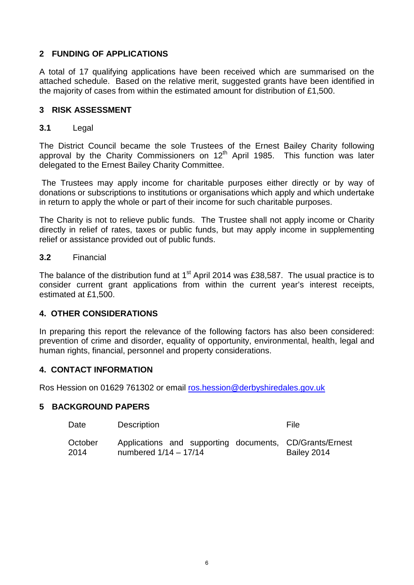## **2 FUNDING OF APPLICATIONS**

A total of 17 qualifying applications have been received which are summarised on the attached schedule. Based on the relative merit, suggested grants have been identified in the majority of cases from within the estimated amount for distribution of £1,500.

## **3 RISK ASSESSMENT**

## **3.1** Legal

The District Council became the sole Trustees of the Ernest Bailey Charity following approval by the Charity Commissioners on  $12<sup>th</sup>$  April 1985. This function was later delegated to the Ernest Bailey Charity Committee.

The Trustees may apply income for charitable purposes either directly or by way of donations or subscriptions to institutions or organisations which apply and which undertake in return to apply the whole or part of their income for such charitable purposes.

The Charity is not to relieve public funds. The Trustee shall not apply income or Charity directly in relief of rates, taxes or public funds, but may apply income in supplementing relief or assistance provided out of public funds.

## **3.2** Financial

The balance of the distribution fund at  $1<sup>st</sup>$  April 2014 was £38,587. The usual practice is to consider current grant applications from within the current year's interest receipts, estimated at £1,500.

## **4. OTHER CONSIDERATIONS**

In preparing this report the relevance of the following factors has also been considered: prevention of crime and disorder, equality of opportunity, environmental, health, legal and human rights, financial, personnel and property considerations.

## **4. CONTACT INFORMATION**

Ros Hession on 01629 761302 or email [ros.hession@derbyshiredales.gov.uk](mailto:ros.hession@derbyshiredales.gov.uk) 

### **5 BACKGROUND PAPERS**

| Date            | <b>Description</b>                                                                 | File        |
|-----------------|------------------------------------------------------------------------------------|-------------|
| October<br>2014 | Applications and supporting documents, CD/Grants/Ernest<br>numbered $1/14 - 17/14$ | Bailey 2014 |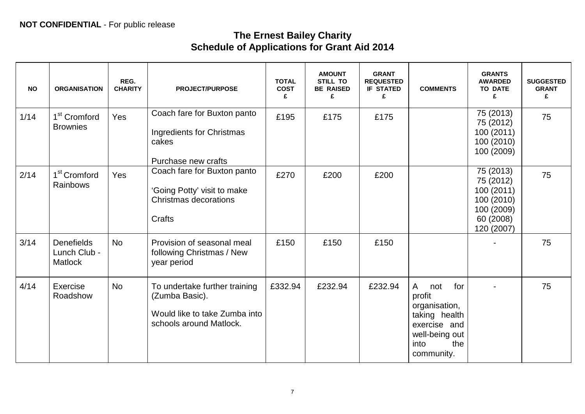# **The Ernest Bailey Charity Schedule of Applications for Grant Aid 2014**

| <b>NO</b> | <b>ORGANISATION</b>                                 | REG.<br><b>CHARITY</b> | <b>PROJECT/PURPOSE</b>                                                                                      | <b>TOTAL</b><br><b>COST</b><br>£ | <b>AMOUNT</b><br>STILL TO<br><b>BE RAISED</b><br>£ | <b>GRANT</b><br><b>REQUESTED</b><br><b>IF STATED</b><br>£ | <b>COMMENTS</b>                                                                                                            | <b>GRANTS</b><br><b>AWARDED</b><br><b>TO DATE</b><br>£                                    | <b>SUGGESTED</b><br><b>GRANT</b><br>£ |
|-----------|-----------------------------------------------------|------------------------|-------------------------------------------------------------------------------------------------------------|----------------------------------|----------------------------------------------------|-----------------------------------------------------------|----------------------------------------------------------------------------------------------------------------------------|-------------------------------------------------------------------------------------------|---------------------------------------|
| $1/14$    | 1 <sup>st</sup> Cromford<br><b>Brownies</b>         | Yes                    | Coach fare for Buxton panto<br>Ingredients for Christmas<br>cakes<br>Purchase new crafts                    | £195                             | £175                                               | £175                                                      |                                                                                                                            | 75 (2013)<br>75 (2012)<br>100(2011)<br>100 (2010)<br>100 (2009)                           | 75                                    |
| 2/14      | 1 <sup>st</sup> Cromford<br>Rainbows                | Yes                    | Coach fare for Buxton panto<br>'Going Potty' visit to make<br><b>Christmas decorations</b><br>Crafts        | £270                             | £200                                               | £200                                                      |                                                                                                                            | 75 (2013)<br>75 (2012)<br>100(2011)<br>100(2010)<br>100 (2009)<br>60 (2008)<br>120 (2007) | 75                                    |
| 3/14      | <b>Denefields</b><br>Lunch Club -<br><b>Matlock</b> | <b>No</b>              | Provision of seasonal meal<br>following Christmas / New<br>year period                                      | £150                             | £150                                               | £150                                                      |                                                                                                                            |                                                                                           | 75                                    |
| 4/14      | Exercise<br>Roadshow                                | <b>No</b>              | To undertake further training<br>(Zumba Basic).<br>Would like to take Zumba into<br>schools around Matlock. | £332.94                          | £232.94                                            | £232.94                                                   | A<br>for<br>not<br>profit<br>organisation,<br>taking health<br>exercise and<br>well-being out<br>the<br>into<br>community. |                                                                                           | 75                                    |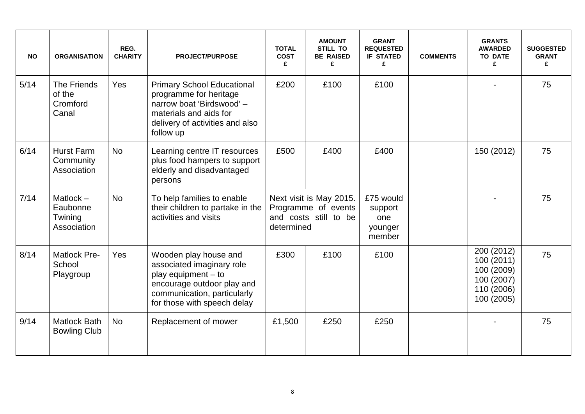| <b>NO</b> | <b>ORGANISATION</b>                               | REG.<br><b>CHARITY</b> | <b>PROJECT/PURPOSE</b>                                                                                                                                                  | <b>TOTAL</b><br><b>COST</b><br>£                                                      | <b>AMOUNT</b><br><b>STILL TO</b><br><b>BE RAISED</b><br>£ | <b>GRANT</b><br><b>REQUESTED</b><br><b>IF STATED</b><br>£ | <b>COMMENTS</b> | <b>GRANTS</b><br><b>AWARDED</b><br><b>TO DATE</b><br>£                           | <b>SUGGESTED</b><br><b>GRANT</b><br>£ |
|-----------|---------------------------------------------------|------------------------|-------------------------------------------------------------------------------------------------------------------------------------------------------------------------|---------------------------------------------------------------------------------------|-----------------------------------------------------------|-----------------------------------------------------------|-----------------|----------------------------------------------------------------------------------|---------------------------------------|
| $5/14$    | The Friends<br>of the<br>Cromford<br>Canal        | Yes                    | <b>Primary School Educational</b><br>programme for heritage<br>narrow boat 'Birdswood' -<br>materials and aids for<br>delivery of activities and also<br>follow up      | £200                                                                                  | £100                                                      | £100                                                      |                 |                                                                                  | 75                                    |
| 6/14      | <b>Hurst Farm</b><br>Community<br>Association     | <b>No</b>              | Learning centre IT resources<br>plus food hampers to support<br>elderly and disadvantaged<br>persons                                                                    | £500                                                                                  | £400                                                      | £400                                                      |                 | 150 (2012)                                                                       | 75                                    |
| 7/14      | Matlock $-$<br>Eaubonne<br>Twining<br>Association | <b>No</b>              | To help families to enable<br>their children to partake in the<br>activities and visits                                                                                 | Next visit is May 2015.<br>Programme of events<br>and costs still to be<br>determined |                                                           | £75 would<br>support<br>one<br>younger<br>member          |                 |                                                                                  | 75                                    |
| 8/14      | Matlock Pre-<br>School<br>Playgroup               | Yes                    | Wooden play house and<br>associated imaginary role<br>play equipment $-$ to<br>encourage outdoor play and<br>communication, particularly<br>for those with speech delay | £300                                                                                  | £100                                                      | £100                                                      |                 | 200 (2012)<br>100 (2011)<br>100 (2009)<br>100 (2007)<br>110 (2006)<br>100 (2005) | 75                                    |
| 9/14      | <b>Matlock Bath</b><br><b>Bowling Club</b>        | <b>No</b>              | Replacement of mower                                                                                                                                                    | £1,500                                                                                | £250                                                      | £250                                                      |                 |                                                                                  | 75                                    |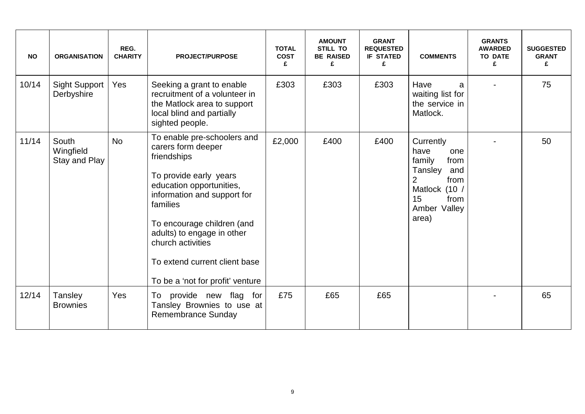| <b>NO</b> | <b>ORGANISATION</b>                 | REG.<br><b>CHARITY</b> | <b>PROJECT/PURPOSE</b>                                                                                                                                                                                                                                                                                                  | <b>TOTAL</b><br><b>COST</b><br>£ | <b>AMOUNT</b><br><b>STILL TO</b><br><b>BE RAISED</b><br>£ | <b>GRANT</b><br><b>REQUESTED</b><br><b>IF STATED</b><br>£ | <b>COMMENTS</b>                                                                                                                   | <b>GRANTS</b><br><b>AWARDED</b><br><b>TO DATE</b><br>£ | <b>SUGGESTED</b><br><b>GRANT</b><br>£ |
|-----------|-------------------------------------|------------------------|-------------------------------------------------------------------------------------------------------------------------------------------------------------------------------------------------------------------------------------------------------------------------------------------------------------------------|----------------------------------|-----------------------------------------------------------|-----------------------------------------------------------|-----------------------------------------------------------------------------------------------------------------------------------|--------------------------------------------------------|---------------------------------------|
| 10/14     | <b>Sight Support</b><br>Derbyshire  | Yes                    | Seeking a grant to enable<br>recruitment of a volunteer in<br>the Matlock area to support<br>local blind and partially<br>sighted people.                                                                                                                                                                               | £303                             | £303                                                      | £303                                                      | Have<br>a<br>waiting list for<br>the service in<br>Matlock.                                                                       |                                                        | 75                                    |
| 11/14     | South<br>Wingfield<br>Stay and Play | <b>No</b>              | To enable pre-schoolers and<br>carers form deeper<br>friendships<br>To provide early years<br>education opportunities,<br>information and support for<br>families<br>To encourage children (and<br>adults) to engage in other<br>church activities<br>To extend current client base<br>To be a 'not for profit' venture | £2,000                           | £400                                                      | £400                                                      | Currently<br>have<br>one<br>family<br>from<br>Tansley<br>and<br>from<br>2<br>Matlock (10 /<br>15<br>from<br>Amber Valley<br>area) |                                                        | 50                                    |
| 12/14     | Tansley<br><b>Brownies</b>          | Yes                    | To provide new flag<br>for<br>Tansley Brownies to use at<br><b>Remembrance Sunday</b>                                                                                                                                                                                                                                   | £75                              | £65                                                       | £65                                                       |                                                                                                                                   |                                                        | 65                                    |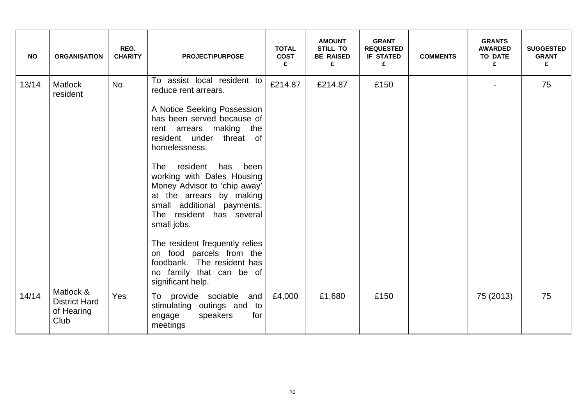| <b>NO</b> | <b>ORGANISATION</b>                                     | REG.<br><b>CHARITY</b> | <b>PROJECT/PURPOSE</b>                                                                                                                                                                            | <b>TOTAL</b><br><b>COST</b><br>£ | <b>AMOUNT</b><br><b>STILL TO</b><br><b>BE RAISED</b><br>£ | <b>GRANT</b><br><b>REQUESTED</b><br><b>IF STATED</b><br>£ | <b>COMMENTS</b> | <b>GRANTS</b><br><b>AWARDED</b><br><b>TO DATE</b><br>£ | <b>SUGGESTED</b><br><b>GRANT</b><br>£ |
|-----------|---------------------------------------------------------|------------------------|---------------------------------------------------------------------------------------------------------------------------------------------------------------------------------------------------|----------------------------------|-----------------------------------------------------------|-----------------------------------------------------------|-----------------|--------------------------------------------------------|---------------------------------------|
| 13/14     | <b>Matlock</b><br>resident                              | <b>No</b>              | To assist local resident to<br>reduce rent arrears.                                                                                                                                               | £214.87                          | £214.87                                                   | £150                                                      |                 |                                                        | 75                                    |
|           |                                                         |                        | A Notice Seeking Possession<br>has been served because of<br>rent arrears making the<br>resident under threat of<br>homelessness.                                                                 |                                  |                                                           |                                                           |                 |                                                        |                                       |
|           |                                                         |                        | resident<br>has<br>The<br>been<br>working with Dales Housing<br>Money Advisor to 'chip away'<br>at the arrears by making<br>small additional payments.<br>The resident has several<br>small jobs. |                                  |                                                           |                                                           |                 |                                                        |                                       |
|           |                                                         |                        | The resident frequently relies<br>on food parcels from the<br>foodbank. The resident has<br>no family that can be of<br>significant help.                                                         |                                  |                                                           |                                                           |                 |                                                        |                                       |
| 14/14     | Matlock &<br><b>District Hard</b><br>of Hearing<br>Club | Yes                    | To provide sociable and<br>stimulating outings and to<br>speakers<br>for<br>engage<br>meetings                                                                                                    | £4,000                           | £1,680                                                    | £150                                                      |                 | 75 (2013)                                              | 75                                    |